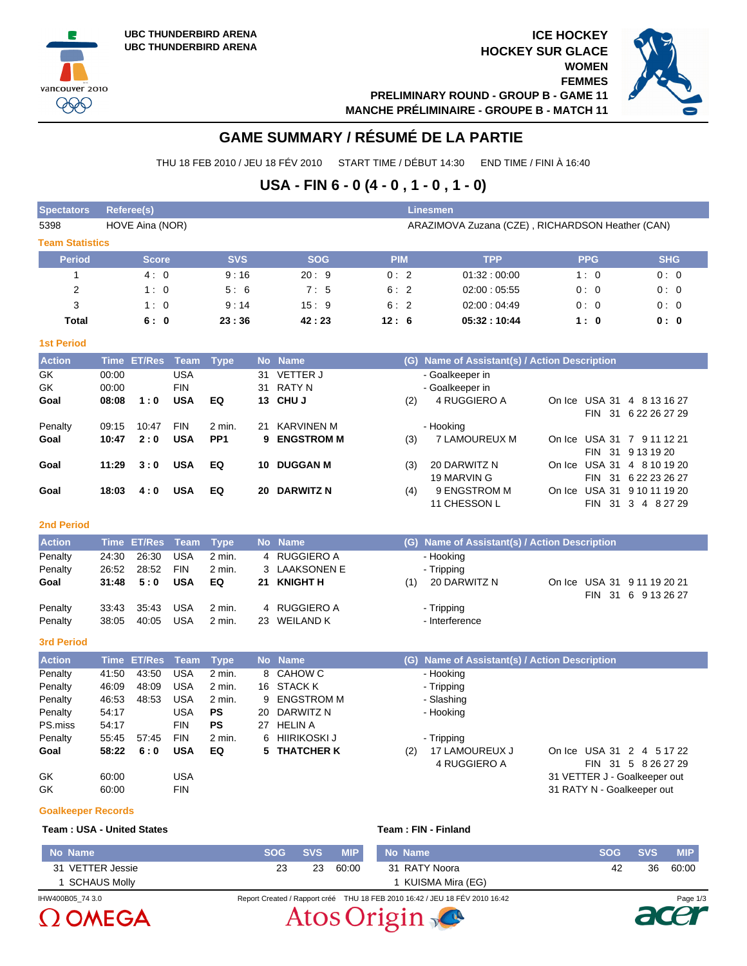vancouver 2010 999

**ICE HOCKEY HOCKEY SUR GLACE WOMEN FEMMES**



**PRELIMINARY ROUND - GROUP B - GAME 11 MANCHE PRÉLIMINAIRE - GROUPE B - MATCH 11**

# **GAME SUMMARY / RÉSUMÉ DE LA PARTIE**

THU 18 FEB 2010 / JEU 18 FÉV 2010 START TIME / DÉBUT 14:30 END TIME / FINI À 16:40

## **USA - FIN 6 - 0 (4 - 0 , 1 - 0 , 1 - 0)**

| <b>Spectators</b>      |             | <b>Referee(s)</b> |             |                 |           |                    |            |     | <b>Linesmen</b>                                  |            |                             |
|------------------------|-------------|-------------------|-------------|-----------------|-----------|--------------------|------------|-----|--------------------------------------------------|------------|-----------------------------|
| 5398                   |             | HOVE Aina (NOR)   |             |                 |           |                    |            |     | ARAZIMOVA Zuzana (CZE), RICHARDSON Heather (CAN) |            |                             |
| <b>Team Statistics</b> |             |                   |             |                 |           |                    |            |     |                                                  |            |                             |
| <b>Period</b>          |             | <b>Score</b>      |             | <b>SVS</b>      |           | <b>SOG</b>         | <b>PIM</b> |     | <b>TPP</b>                                       | <b>PPG</b> | <b>SHG</b>                  |
| $\mathbf{1}$           |             | 4:0               |             | 9:16            |           | 20:9               | 0:2        |     | 01:32:00:00                                      | 1:0        | 0:0                         |
| 2                      |             | 1:0               |             | 5:6             |           | 7:5                | 6:2        |     | 02:00:05:55                                      | 0:0        | 0:0                         |
| 3                      |             | 1:0               |             | 9:14            |           | 15:9               | 6:2        |     | 02:00:04:49                                      | 0:0        | 0:0                         |
| Total                  |             | 6:0               |             | 23:36           |           | 42:23              | 12:6       |     | 05:32:10:44                                      | 1:0        | 0: 0                        |
| <b>1st Period</b>      |             |                   |             |                 |           |                    |            |     |                                                  |            |                             |
| <b>Action</b>          |             | Time ET/Res       | Team        | <b>Type</b>     |           | No Name            |            |     | (G) Name of Assistant(s) / Action Description    |            |                             |
| GK                     | 00:00       |                   | <b>USA</b>  |                 | 31        | <b>VETTER J</b>    |            |     | - Goalkeeper in                                  |            |                             |
| <b>GK</b>              | 00:00       |                   | <b>FIN</b>  |                 | 31        | <b>RATY N</b>      |            |     | - Goalkeeper in                                  |            |                             |
| Goal                   | 08:08       | 1:0               | <b>USA</b>  | EQ              | 13        | <b>CHUJ</b>        |            | (2) | 4 RUGGIERO A                                     |            | On Ice USA 31 4 8 13 16 27  |
|                        |             |                   |             |                 |           |                    |            |     |                                                  |            | FIN 31 6 22 26 27 29        |
| Penalty                | 09:15       | 10:47             | <b>FIN</b>  | 2 min.          | 21        | <b>KARVINEN M</b>  |            |     | - Hooking                                        |            |                             |
| Goal                   | 10:47       | 2:0               | <b>USA</b>  | PP <sub>1</sub> | 9         | <b>ENGSTROM M</b>  |            | (3) | 7 LAMOUREUX M                                    |            | On Ice USA 31 7 9 11 12 21  |
|                        |             |                   |             |                 |           |                    |            |     |                                                  |            | FIN 31 9 13 19 20           |
| Goal                   | 11:29       | 3:0               | <b>USA</b>  | EQ              | 10        | <b>DUGGAN M</b>    |            | (3) | 20 DARWITZ N                                     |            | On Ice USA 31 4 8 10 19 20  |
|                        |             |                   |             |                 |           |                    |            |     | 19 MARVIN G                                      |            | FIN 31 6 22 23 26 27        |
| Goal                   | 18:03       | 4:0               | <b>USA</b>  | EQ              | 20        | <b>DARWITZ N</b>   |            | (4) | 9 ENGSTROM M                                     |            | On Ice USA 31 9 10 11 19 20 |
|                        |             |                   |             |                 |           |                    |            |     | 11 CHESSON L                                     |            | FIN 31 3 4 8 27 29          |
| <b>2nd Period</b>      |             |                   |             |                 |           |                    |            |     |                                                  |            |                             |
| <b>Action</b>          | <b>Time</b> | <b>ET/Res</b>     | <b>Team</b> | <b>Type</b>     | <b>No</b> | <b>Name</b>        |            | (G) | Name of Assistant(s) / Action Description        |            |                             |
| Penalty                | 24:30       | 26:30             | <b>USA</b>  | 2 min.          | 4         | <b>RUGGIERO A</b>  |            |     | - Hooking                                        |            |                             |
| Penalty                | 26:52       | 28:52             | <b>FIN</b>  | 2 min.          | 3         | <b>LAAKSONEN E</b> |            |     | - Tripping                                       |            |                             |
| Goal                   | 31:48       | 5:0               | <b>USA</b>  | EQ              | 21        | <b>KNIGHT H</b>    |            | (1) | 20 DARWITZ N                                     |            | On Ice USA 31 9 11 19 20 21 |
|                        |             |                   |             |                 |           |                    |            |     |                                                  |            | FIN 31 6 9 13 26 27         |
| Penalty                | 33:43       | 35:43             | <b>USA</b>  | 2 min.          |           | 4 RUGGIERO A       |            |     | - Tripping                                       |            |                             |
| Penalty                | 38:05       | 40:05             | <b>USA</b>  | 2 min.          | 23.       | <b>WEILAND K</b>   |            |     | - Interference                                   |            |                             |
| <b>3rd Period</b>      |             |                   |             |                 |           |                    |            |     |                                                  |            |                             |

| <b>Action</b> |       | Time ET/Res Team |            | <b>Type</b> | No l | <b>Name</b>    | (G) Name of Assistant(s) / Action Description      |
|---------------|-------|------------------|------------|-------------|------|----------------|----------------------------------------------------|
| Penalty       | 41:50 | 43:50            | USA        | 2 min.      |      | 8 CAHOW C      | - Hooking                                          |
| Penalty       | 46:09 | 48:09            | USA        | 2 min.      |      | 16 STACK K     | - Tripping                                         |
| Penalty       | 46:53 | 48:53            | USA        | 2 min.      |      | 9 ENGSTROM M   | - Slashing                                         |
| Penalty       | 54:17 |                  | USA        | <b>PS</b>   |      | 20 DARWITZ N   | - Hooking                                          |
| PS.miss       | 54:17 |                  | <b>FIN</b> | <b>PS</b>   | 27   | <b>HELIN A</b> |                                                    |
| Penalty       | 55:45 | 57:45            | <b>FIN</b> | $2$ min.    |      | 6 HIIRIKOSKI J | - Tripping                                         |
| Goal          | 58:22 | 6:0              | <b>USA</b> | EQ          |      | 5 THATCHER K   | 17 LAMOUREUX J<br>On Ice USA 31 2 4 5 17 22<br>(2) |
|               |       |                  |            |             |      |                | 4 RUGGIERO A<br>31 5 8 26 27 29<br>FIN.            |
| GK            | 60:00 |                  | USA        |             |      |                | 31 VETTER J - Goalkeeper out                       |
| GK            | 60:00 |                  | <b>FIN</b> |             |      |                | 31 RATY N - Goalkeeper out                         |

#### **Goalkeeper Records**

## **Team : USA - United States Team : FIN - Finland**

| Team : FIN - Finland |  |  |  |
|----------------------|--|--|--|
|                      |  |  |  |

|            |            | Page 1/3   |
|------------|------------|------------|
|            |            |            |
|            |            |            |
| 42         | 36         | 60:00      |
| <b>SOG</b> | <b>SVS</b> | <b>MIP</b> |
|            |            |            |



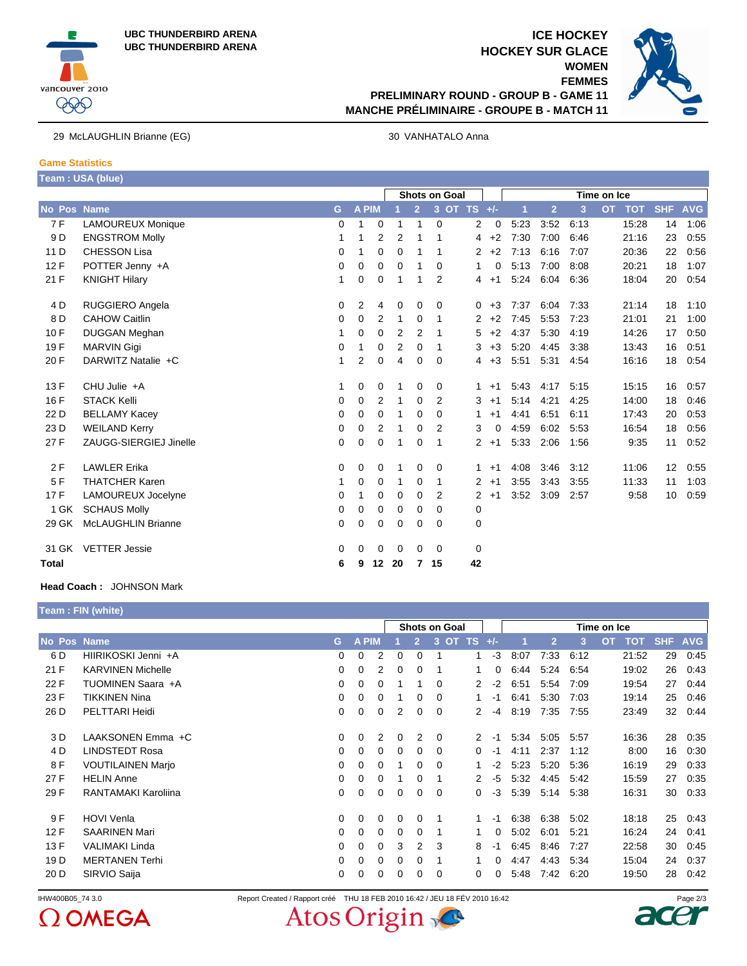



## **ICE HOCKEY HOCKEY SUR GLACE WOMEN FEMMES PRELIMINARY ROUND - GROUP B - GAME 11 MANCHE PRÉLIMINAIRE - GROUPE B - MATCH 11**



29 McLAUGHLIN Brianne (EG) 30 VANHATALO Anna

### **Game Statistics Team : USA (blue)**

|                |                           |   |       |                | <b>Shots on Goal</b> |                |                |             |                        | Time on Ice |                |      |                         |            |            |
|----------------|---------------------------|---|-------|----------------|----------------------|----------------|----------------|-------------|------------------------|-------------|----------------|------|-------------------------|------------|------------|
| No Pos Name    |                           | G | A PIM |                |                      | $\overline{2}$ | 3 <sup>1</sup> | OT TS $+/-$ |                        | 1           | $\overline{2}$ | 3    | <b>TOT</b><br><b>OT</b> | <b>SHF</b> | <b>AVG</b> |
| 7F             | <b>LAMOUREUX Monique</b>  | 0 | 1     | $\mathbf 0$    | 1                    | 1              | $\mathbf 0$    |             | 2<br>0                 | 5:23        | 3:52           | 6:13 | 15:28                   | 14         | 1:06       |
| 9 <sub>D</sub> | <b>ENGSTROM Molly</b>     | 1 | 1     | 2              | $\overline{2}$       | 1              |                |             | $+2$<br>4              | 7:30        | 7:00           | 6:46 | 21:16                   | 23         | 0:55       |
| 11 D           | <b>CHESSON Lisa</b>       | 0 | 1     | 0              | $\mathbf 0$          | 1              |                |             | $+2$<br>2              | 7:13        | 6:16           | 7:07 | 20:36                   | 22         | 0:56       |
| 12F            | POTTER Jenny +A           | 0 | 0     | $\mathbf 0$    | $\mathbf 0$          | 1              | 0              |             | 1<br>0                 | 5:13        | 7:00           | 8:08 | 20:21                   | 18         | 1:07       |
| 21 F           | <b>KNIGHT Hilary</b>      | 1 | 0     | $\mathbf 0$    | 1                    | 1              | $\overline{2}$ |             | $+1$<br>4              | 5:24        | 6:04           | 6:36 | 18:04                   | 20         | 0:54       |
| 4 <sub>D</sub> | RUGGIERO Angela           | 0 | 2     | 4              | $\mathbf 0$          | 0              | 0              |             | $+3$<br>0              | 7:37        | 6:04           | 7:33 | 21:14                   | 18         | 1:10       |
| 8 D            | <b>CAHOW Caitlin</b>      | 0 | 0     | 2              | 1                    | 0              | 1              |             | $\overline{2}$<br>$+2$ | 7:45        | 5:53           | 7:23 | 21:01                   | 21         | 1:00       |
| 10 F           | <b>DUGGAN Meghan</b>      | 1 | 0     | 0              | $\overline{2}$       | $\overline{2}$ |                |             | 5<br>$+2$              | 4:37        | 5:30           | 4:19 | 14:26                   | 17         | 0:50       |
| 19F            | <b>MARVIN Gigi</b>        | 0 | 1     | $\Omega$       | 2                    | 0              | 1              |             | 3<br>$+3$              | 5:20        | 4:45           | 3:38 | 13:43                   | 16         | 0:51       |
| 20 F           | DARWITZ Natalie +C        | 1 | 2     | $\mathbf 0$    | 4                    | 0              | $\Omega$       |             | $+3$<br>4              | 5:51        | 5:31           | 4:54 | 16:16                   | 18         | 0:54       |
| 13 F           | CHU Julie +A              | 1 | 0     | 0              | 1                    | 0              | 0              |             | $+1$<br>1              | 5:43        | 4:17           | 5:15 | 15:15                   | 16         | 0:57       |
| 16 F           | <b>STACK Kelli</b>        | 0 | 0     | 2              | 1                    | 0              | 2              |             | 3<br>$+1$              | 5:14        | 4:21           | 4:25 | 14:00                   | 18         | 0:46       |
| 22 D           | <b>BELLAMY Kacey</b>      | 0 | 0     | $\mathbf 0$    | 1                    | 0              | $\Omega$       |             | 1<br>$+1$              | 4:41        | 6:51           | 6:11 | 17:43                   | 20         | 0:53       |
| 23 D           | <b>WEILAND Kerry</b>      | 0 | 0     | $\overline{2}$ | 1                    | 0              | 2              |             | 3<br>0                 | 4:59        | 6:02           | 5.53 | 16:54                   | 18         | 0:56       |
| 27 F           | ZAUGG-SIERGIEJ Jinelle    | 0 | 0     | 0              | 1                    | $\Omega$       | 1              |             | $\overline{2}$<br>$+1$ | 5:33        | 2:06           | 1:56 | 9:35                    | 11         | 0:52       |
| 2F             | <b>LAWLER Erika</b>       | 0 | 0     | 0              |                      | 0              | 0              |             | 1<br>$+1$              | 4:08        | 3:46           | 3:12 | 11:06                   | 12         | 0:55       |
| 5F             | <b>THATCHER Karen</b>     | 1 | 0     | 0              | 1                    | 0              | 1              |             | $\overline{2}$<br>$+1$ | 3:55        | 3:43           | 3:55 | 11:33                   | 11         | 1:03       |
| 17F            | LAMOUREUX Jocelyne        | 0 | 1     | 0              | $\mathbf 0$          | 0              | 2              |             | $\overline{2}$<br>$+1$ | 3:52        | 3:09           | 2:57 | 9:58                    | 10         | 0:59       |
| 1 GK           | <b>SCHAUS Molly</b>       | 0 | 0     | $\mathbf 0$    | $\mathbf 0$          | 0              | 0              |             | 0                      |             |                |      |                         |            |            |
| 29 GK          | <b>McLAUGHLIN Brianne</b> | 0 | 0     | 0              | $\mathbf 0$          | 0              | $\Omega$       |             | 0                      |             |                |      |                         |            |            |
| 31 GK          | <b>VETTER Jessie</b>      | 0 | 0     | 0              | 0                    | 0              | $\Omega$       |             | 0                      |             |                |      |                         |            |            |
| <b>Total</b>   |                           | 6 | 9     | 12             | 20                   | 7              | 15             | 42          |                        |             |                |      |                         |            |            |

#### **Head Coach :** JOHNSON Mark

|                 | Team: FIN (white)          |          |   |       |                |   |          |                      |     |       |      |                |      |                         |            |    |            |
|-----------------|----------------------------|----------|---|-------|----------------|---|----------|----------------------|-----|-------|------|----------------|------|-------------------------|------------|----|------------|
|                 |                            |          |   |       |                |   |          | <b>Shots on Goal</b> |     |       |      |                |      | Time on Ice             |            |    |            |
| No Pos Name     |                            | G        |   | A PIM |                |   | 2        | 3<br><b>OT</b>       | TS. | $+/-$ |      | $\overline{2}$ | 3    | <b>OT</b><br><b>TOT</b> | <b>SHF</b> |    | <b>AVG</b> |
| 6 D             | HIIRIKOSKI Jenni +A        | $\Omega$ | 0 |       | $\overline{2}$ | 0 | $\Omega$ |                      | 1   | -3    | 8:07 | 7:33           | 6:12 | 21:52                   |            | 29 | 0:45       |
| 21 F            | <b>KARVINEN Michelle</b>   | 0        | 0 |       | 2              | 0 | 0        |                      | 1   | 0     | 6:44 | 5:24           | 6:54 | 19:02                   |            | 26 | 0:43       |
| 22 F            | TUOMINEN Saara +A          | $\Omega$ | 0 |       | 0              |   |          | $\Omega$             | 2   | $-2$  | 6:51 | 5:54           | 7:09 | 19:54                   |            | 27 | 0:44       |
| 23 F            | <b>TIKKINEN Nina</b>       | 0        | 0 |       | 0              |   | 0        | $\Omega$             | 1   | -1    | 6:41 | 5:30           | 7:03 | 19:14                   |            | 25 | 0:46       |
| 26 D            | PELTTARI Heidi             | 0        | 0 |       | 0              | 2 | 0        | 0                    | 2   | -4    | 8:19 | 7:35           | 7:55 | 23:49                   |            | 32 | 0.44       |
| 3 D             | LAAKSONEN Emma +C          | 0        | 0 |       | $\overline{2}$ | 0 | 2        | 0                    | 2   | -1    | 5:34 | 5:05           | 5:57 | 16:36                   |            | 28 | 0:35       |
| 4 D             | <b>LINDSTEDT Rosa</b>      | 0        | 0 |       | 0              | 0 | $\Omega$ | $\Omega$             | 0   | -1    | 4:11 | 2:37           | 1:12 |                         | 8:00       | 16 | 0:30       |
| 8 F             | <b>VOUTILAINEN Marjo</b>   | 0        | 0 |       | 0              |   | 0        | 0                    |     | $-2$  | 5:23 | 5:20           | 5:36 | 16:19                   |            | 29 | 0:33       |
| 27 F            | <b>HELIN Anne</b>          | 0        | 0 |       | $\mathbf 0$    |   | 0        |                      | 2   | -5    | 5:32 | 4:45           | 5:42 | 15:59                   |            | 27 | 0:35       |
| 29 F            | <b>RANTAMAKI Karoliina</b> | 0        | 0 |       | $\mathbf 0$    | 0 | 0        | 0                    | 0   | $-3$  | 5:39 | 5:14           | 5:38 | 16:31                   |            | 30 | 0:33       |
| 9 F             | <b>HOVI Venla</b>          | $\Omega$ | 0 |       | $\Omega$       | 0 | 0        |                      | 1   | -1    | 6:38 | 6:38           | 5:02 | 18:18                   |            | 25 | 0:43       |
| 12F             | <b>SAARINEN Mari</b>       | 0        | 0 |       | 0              | 0 | 0        |                      | 1   | 0     | 5:02 | 6:01           | 5:21 | 16:24                   |            | 24 | 0:41       |
| 13F             | <b>VALIMAKI Linda</b>      | 0        | 0 |       | 0              | 3 | 2        | 3                    | 8   | -1    | 6:45 | 8:46           | 7:27 | 22:58                   |            | 30 | 0:45       |
| 19 <sub>D</sub> | <b>MERTANEN Terhi</b>      | 0        | 0 |       | 0              | 0 | 0        |                      |     | 0     | 4:47 | 4:43           | 5:34 | 15:04                   |            | 24 | 0:37       |
| 20 D            | SIRVIO Saija               | 0        | 0 |       | 0              | 0 | 0        | $\Omega$             | 0   | 0     | 5:48 | 7:42           | 6:20 | 19:50                   |            | 28 | 0:42       |

IHW400B05\_74 3.0 Report Created / Rapport créé THU 18 FEB 2010 16:42 / JEU 18 FÉV 2010 16:42 Page 2/3<br>  $O$  OMEGA Atos Original Report Created Control of the Solid 19th Solid Report of the Solid 19th Solid Report Created / Atos Origin